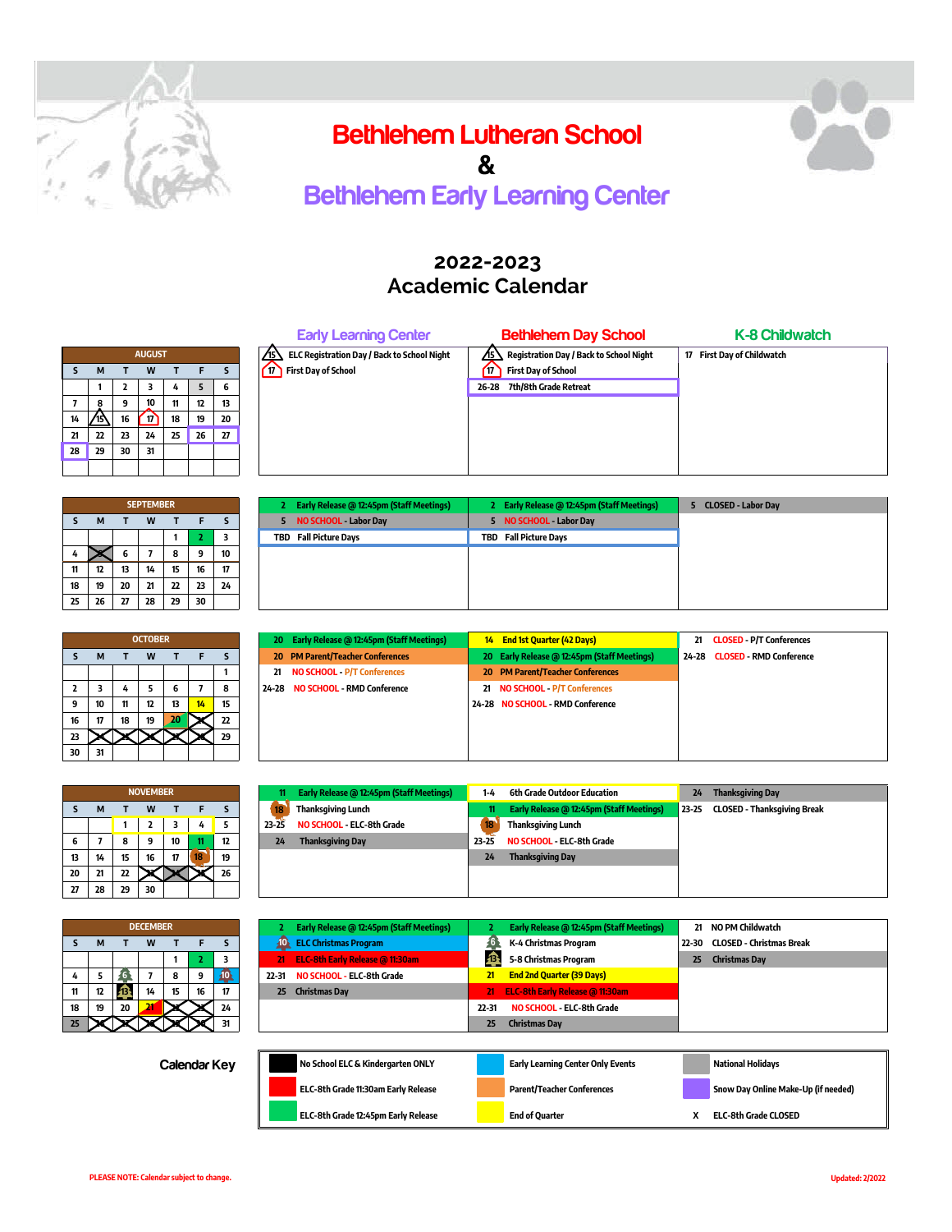

### Bethlehem Lutheran School &



# Bethlehem Early Learning Center

### **2022-2023 Academic Calendar**

|               |        |      |            |    |                           |                                  | <b>Early Learning Center</b>                | <b>Bethlehem Day School</b>                    | <b>K-8 Childwatch</b>      |
|---------------|--------|------|------------|----|---------------------------|----------------------------------|---------------------------------------------|------------------------------------------------|----------------------------|
| <b>AUGUST</b> |        |      |            |    |                           |                                  | ELC Registration Day / Back to School Night | Registration Day / Back to School Night<br>⁄ا5 | 17 First Day of Childwatch |
| W<br>M        |        |      |            |    | First Day of School<br>17 | <b>First Day of School</b><br>17 |                                             |                                                |                            |
|               |        |      |            |    |                           | ь                                |                                             | 26-28 7th/8th Grade Retreat                    |                            |
|               | 8      |      | 10         |    | 12                        | 13                               |                                             |                                                |                            |
|               | 4 /15\ | 16 I | $\sqrt{n}$ | 18 | 19                        | 20                               |                                             |                                                |                            |
|               | 22     | 23   | 24         | 25 | 26                        | 27                               |                                             |                                                |                            |
|               | 29     | 30   | 31         |    |                           |                                  |                                             |                                                |                            |
|               |        |      |            |    |                           |                                  |                                             |                                                |                            |

 **2 Early Release @ 12:45pm (Staff Meetings) 2 Early Release @ 12:45pm (Staff Meetings) 5 CLOSED - Labor Day**

**F MO SCHOOL - Labor Day T T T T T T S NO SCHOOL - Labor Day 1 2 3 TBD Fall Picture Days TBD Fall Picture Days**

|              |    |    | <b>SEPTEMBER</b> |    |    |    |
|--------------|----|----|------------------|----|----|----|
| $\mathsf{s}$ | M  | т  | W                |    | F  | s  |
|              |    |    |                  |    | 2  | 3  |
| 4            |    | 6  | 7                | 8  | 9  | 10 |
| 11           | 12 | 13 | 14               | 15 | 16 | 17 |
| 18           | 19 | 20 | 21               | 22 | 23 | 24 |
| 25           | 26 | 27 | 28               | 29 | 30 |    |

| <b>OCTOBER</b>          |    |    |    |    |    |    |  |  |  |  |  |
|-------------------------|----|----|----|----|----|----|--|--|--|--|--|
| $\mathsf{s}$            | M  |    | W  | т  | F  | S  |  |  |  |  |  |
|                         |    |    |    |    |    |    |  |  |  |  |  |
| $\overline{\mathbf{z}}$ | 3  | 4  | 5  | 6  |    | 8  |  |  |  |  |  |
| 9                       | 10 | 11 | 12 | 13 | 14 | 15 |  |  |  |  |  |
| 16                      | 17 | 18 | 19 | 20 |    | 22 |  |  |  |  |  |
| 23                      |    |    |    |    |    | 29 |  |  |  |  |  |
| 30                      | 31 |    |    |    |    |    |  |  |  |  |  |

|     |    |    | <b>OCTOBER</b> |    |    |    |    | 20 Early Release @ 12:45pm (Staff Meetings) | 14 End 1st Quarter (42 Days)                | 21 CLOSED - P/T Conferences   |
|-----|----|----|----------------|----|----|----|----|---------------------------------------------|---------------------------------------------|-------------------------------|
|     | M  |    | W              |    |    |    |    | 20 PM Parent/Teacher Conferences            | 20 Early Release @ 12:45pm (Staff Meetings) | 24-28 CLOSED - RMD Conference |
|     |    |    |                |    |    |    | 21 | <b>NO SCHOOL - P/T Conferences</b>          | <b>20 PM Parent/Teacher Conferences</b>     |                               |
|     |    |    |                |    |    | 8  |    | 24-28 NO SCHOOL - RMD Conference            | 21 NO SCHOOL P/T Conferences                |                               |
|     | 10 |    | 12             | 13 | 14 | 15 |    |                                             | 24-28 NO SCHOOL - RMD Conference            |                               |
|     | 17 | 18 | 19             |    |    | 22 |    |                                             |                                             |                               |
| ו ר |    |    |                |    |    | 29 |    |                                             |                                             |                               |
| 30  | 31 |    |                |    |    |    |    |                                             |                                             |                               |

| <b>NOVEMBER</b> |                  |    |    |    |    |    |  |  |  |  |  |
|-----------------|------------------|----|----|----|----|----|--|--|--|--|--|
| $\mathsf{s}$    | M<br>W<br>F<br>т |    |    |    |    |    |  |  |  |  |  |
|                 |                  |    | 2  | 3  | 4  | 5  |  |  |  |  |  |
| 6               | $\overline{ }$   | 8  | 9  | 10 | 11 | 12 |  |  |  |  |  |
| 13              | 14               | 15 | 16 | 17 | 18 | 19 |  |  |  |  |  |
| 20              | 21               | 22 |    |    |    | 26 |  |  |  |  |  |
| 27              | 28               | 29 | 30 |    |    |    |  |  |  |  |  |

| <b>DECEMBER</b> |    |    |    |    |    |    |  |  |  |  |  |
|-----------------|----|----|----|----|----|----|--|--|--|--|--|
| s               | M  |    | W  |    | F  | S  |  |  |  |  |  |
|                 |    |    |    |    | 2  | 3  |  |  |  |  |  |
| 4               | 5  | ×  |    | 8  | 9  |    |  |  |  |  |  |
| 11              | 12 |    | 14 | 15 | 16 | 17 |  |  |  |  |  |
| 18              | 19 | 20 | z  |    |    | 24 |  |  |  |  |  |
| 25              |    |    |    |    |    | 31 |  |  |  |  |  |

# **Early Release @ 12:45pm (Staff Meetings)** 21 NO PM Childwatch<br> **21 Release @ 12:45pm (Staff Meetings)** 22-30 CLOSED - Christmas Release Program 22-30 CLOSED - Christmas **10 ELC Christmas Program 10 6 6 6**

#### Calendar Key

|          | <b>NOVEMBER</b> |    |    |    |    | <b>Early Release @ 12:45pm (Staff Meetings)</b> | $1 - 4$   | 6th Grade Outdoor Education | 24        | <b>Thanksgiving Day</b>                  |       |                             |
|----------|-----------------|----|----|----|----|-------------------------------------------------|-----------|-----------------------------|-----------|------------------------------------------|-------|-----------------------------|
|          |                 |    | w  |    |    |                                                 |           | Thanksgiving Lunch          |           | Early Release @ 12:45pm (Staff Meetings) | 23-25 | CLOSED - Thanksgiving Break |
|          |                 |    |    |    |    |                                                 | $23 - 25$ | NO SCHOOL - ELC-8th Grade   |           | Thanksgiving Lunch                       |       |                             |
|          |                 |    | 9  | 10 |    | 12                                              | 24        | <b>Thanksgiving Day</b>     | $23 - 25$ | NO SCHOOL - ELC-8th Grade                |       |                             |
| 13<br>14 |                 | 15 | 16 | 17 | 18 | 19                                              |           |                             | 24        | <b>Thanksgiving Day</b>                  |       |                             |
| 20<br>21 |                 |    |    |    |    | 26                                              |           |                             |           |                                          |       |                             |
| 28       |                 | 29 | 30 |    |    |                                                 |           |                             |           |                                          |       |                             |

|    | M  |       | W  |    |              |    | 40 <sub>k</sub> | <b>ELC Christmas Program</b>           | 46        | K-4 Christmas Program                    | $22 - 30$ | CLOSED - Christmas Break            |
|----|----|-------|----|----|--------------|----|-----------------|----------------------------------------|-----------|------------------------------------------|-----------|-------------------------------------|
|    |    |       |    |    |              |    | $21 -$          | <b>ELC-8th Early Release @ 11:30am</b> | 4         | 5-8 Christmas Program                    | 25        | <b>Christmas Dav</b>                |
| 4  |    | -61   |    | 8  |              | 垂  | $22 - 31$       | NO SCHOOL - ELC-8th Grade              | 21        | <b>End 2nd Quarter (39 Days)</b>         |           |                                     |
| 11 | 12 | - 133 | 14 | 15 | 16           | 17 | 25              | <b>Christmas Dav</b>                   | $21 -$    | ELC-8th Early Release @ 11:30am          |           |                                     |
| 18 | 19 | 20    |    |    |              | 24 |                 |                                        | $22 - 31$ | NO SCHOOL - ELC-8th Grade                |           |                                     |
| 25 |    |       |    |    |              | 31 |                 |                                        | 25        | <b>Christmas Dav</b>                     |           |                                     |
|    |    |       |    |    |              |    |                 |                                        |           |                                          |           |                                     |
|    |    |       |    |    | Calendar Key |    |                 | No School ELC & Kindergarten ONLY      |           | <b>Early Learning Center Only Events</b> |           | <b>National Holidays</b>            |
|    |    |       |    |    |              |    |                 | ELC-8th Grade 11:30am Early Release    |           | <b>Parent/Teacher Conferences</b>        |           | Snow Day Online Make-Up (if needed) |
|    |    |       |    |    |              |    |                 | ELC-8th Grade 12:45pm Early Release    |           | <b>End of Quarter</b>                    |           | <b>ELC-8th Grade CLOSED</b>         |